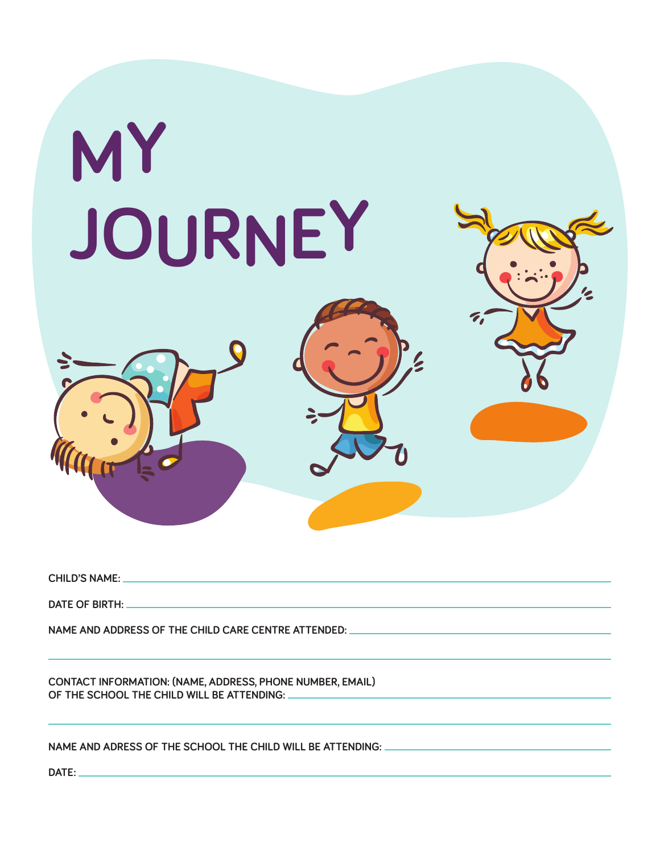

**child's name:** 

**DATE OF BIRTH: \_** 

**name and address of the child care centre attended:** 

**Contact Information: (name, address, phone number, email) of the school the child will be attending:** 

**Name and adress of the school the child will be attending:** 

**Date :**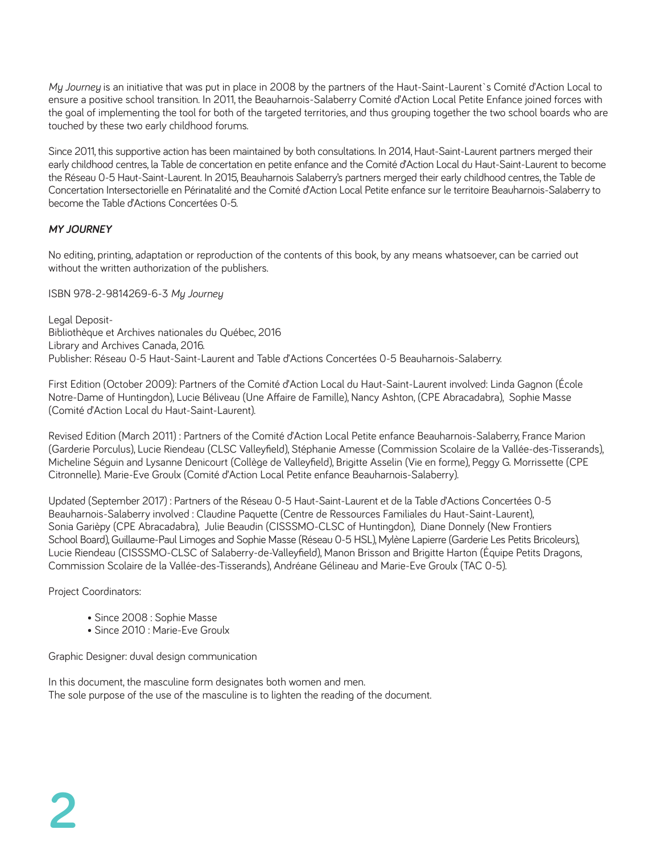*My Journey* is an initiative that was put in place in 2008 by the partners of the Haut-Saint-Laurent`s Comité d'Action Local to ensure a positive school transition. In 2011, the Beauharnois-Salaberry Comité d'Action Local Petite Enfance joined forces with the goal of implementing the tool for both of the targeted territories, and thus grouping together the two school boards who are touched by these two early childhood forums.

Since 2011, this supportive action has been maintained by both consultations. In 2014, Haut-Saint-Laurent partners merged their early childhood centres, la Table de concertation en petite enfance and the Comité d'Action Local du Haut-Saint-Laurent to become the Réseau 0-5 Haut-Saint-Laurent. In 2015, Beauharnois Salaberry's partners merged their early childhood centres, the Table de Concertation Intersectorielle en Périnatalité and the Comité d'Action Local Petite enfance sur le territoire Beauharnois-Salaberry to become the Table d'Actions Concertées 0-5.

#### *My journey*

No editing, printing, adaptation or reproduction of the contents of this book, by any means whatsoever, can be carried out without the written authorization of the publishers.

ISBN 978-2-9814269-6-3 *My Journey*

Legal Deposit-Bibliothèque et Archives nationales du Québec, 2016 Library and Archives Canada, 2016. Publisher: Réseau 0-5 Haut-Saint-Laurent and Table d'Actions Concertées 0-5 Beauharnois-Salaberry.

First Edition (October 2009): Partners of the Comité d'Action Local du Haut-Saint-Laurent involved: Linda Gagnon (École Notre-Dame of Huntingdon), Lucie Béliveau (Une Affaire de Famille), Nancy Ashton, (CPE Abracadabra), Sophie Masse (Comité d'Action Local du Haut-Saint-Laurent).

Revised Edition (March 2011) : Partners of the Comité d'Action Local Petite enfance Beauharnois-Salaberry, France Marion (Garderie Porculus), Lucie Riendeau (CLSC Valleyfield), Stéphanie Amesse (Commission Scolaire de la Vallée-des-Tisserands), Micheline Séguin and Lysanne Denicourt (Collège de Valleyfield), Brigitte Asselin (Vie en forme), Peggy G. Morrissette (CPE Citronnelle). Marie-Eve Groulx (Comité d'Action Local Petite enfance Beauharnois-Salaberry).

Updated (September 2017) : Partners of the Réseau 0-5 Haut-Saint-Laurent et de la Table d'Actions Concertées 0-5 Beauharnois-Salaberry involved : Claudine Paquette (Centre de Ressources Familiales du Haut-Saint-Laurent), Sonia Garièpy (CPE Abracadabra), Julie Beaudin (CISSSMO-CLSC of Huntingdon), Diane Donnely (New Frontiers School Board), Guillaume-Paul Limoges and Sophie Masse (Réseau 0-5 HSL), Mylène Lapierre (Garderie Les Petits Bricoleurs), Lucie Riendeau (CISSSMO-CLSC of Salaberry-de-Valleyfield), Manon Brisson and Brigitte Harton (Équipe Petits Dragons, Commission Scolaire de la Vallée-des-Tisserands), Andréane Gélineau and Marie-Eve Groulx (TAC 0-5).

Project Coordinators:

- Since 2008 : Sophie Masse
- Since 2010 : Marie-Eve Groulx

Graphic Designer: duval design communication

In this document, the masculine form designates both women and men. The sole purpose of the use of the masculine is to lighten the reading of the document.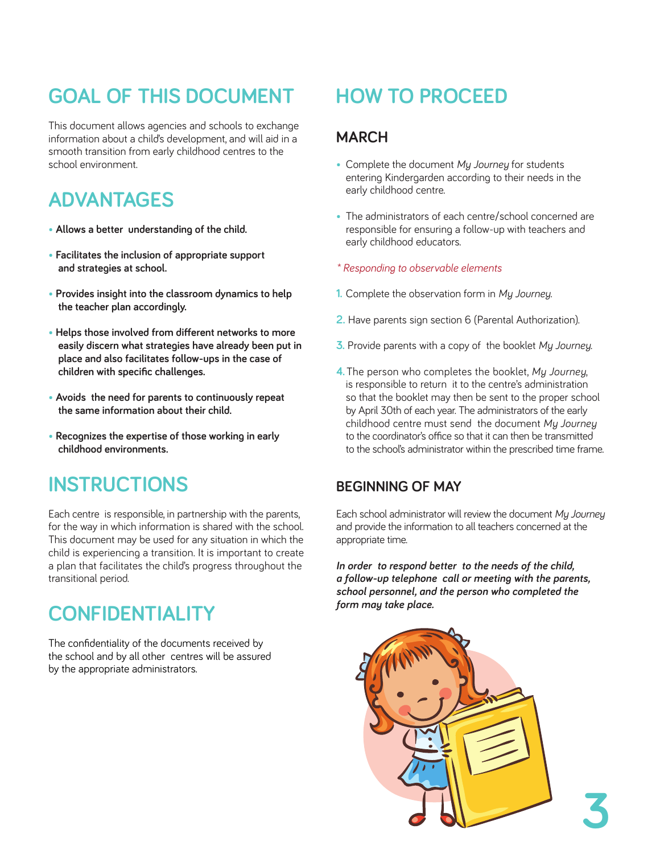# **goal of this document**

This document allows agencies and schools to exchange information about a child's development, and will aid in a smooth transition from early childhood centres to the school environment.

# **advantages**

- **• Allows a better understanding of the child.**
- **• Facilitates the inclusion of appropriate support and strategies at school.**
- **• Provides insight into the classroom dynamics to help the teacher plan accordingly.**
- **• Helps those involved from different networks to more easily discern what strategies have already been put in place and also facilitates follow-ups in the case of children with specific challenges.**
- **• Avoids the need for parents to continuously repeat the same information about their child.**
- **• Recognizes the expertise of those working in early childhood environments.**

# **instructions**

Each centre is responsible, in partnership with the parents, for the way in which information is shared with the school. This document may be used for any situation in which the child is experiencing a transition. It is important to create a plan that facilitates the child's progress throughout the transitional period.

# **Confidentiality**

The confidentiality of the documents received by the school and by all other centres will be assured by the appropriate administrators.

# **how to proceed**

# **March**

- Complete the document *My Journey* for students entering Kindergarden according to their needs in the early childhood centre.
- The administrators of each centre/school concerned are responsible for ensuring a follow-up with teachers and early childhood educators.
- *\* Responding to observable elements*
- **1.** Complete the observation form in *My Journey*.
- **2.** Have parents sign section 6 (Parental Authorization).
- **3.** Provide parents with a copy of the booklet *My Journey*.
- **4.** The person who completes the booklet, *My Journey*, is responsible to return it to the centre's administration so that the booklet may then be sent to the proper school by April 30th of each year. The administrators of the early childhood centre must send the document *My Journey* to the coordinator's office so that it can then be transmitted to the school's administrator within the prescribed time frame.

# **beginning of may**

Each school administrator will review the document *My Journey* and provide the information to all teachers concerned at the appropriate time.

*In order to respond better to the needs of the child, a follow-up telephone call or meeting with the parents, school personnel, and the person who completed the form may take place.*

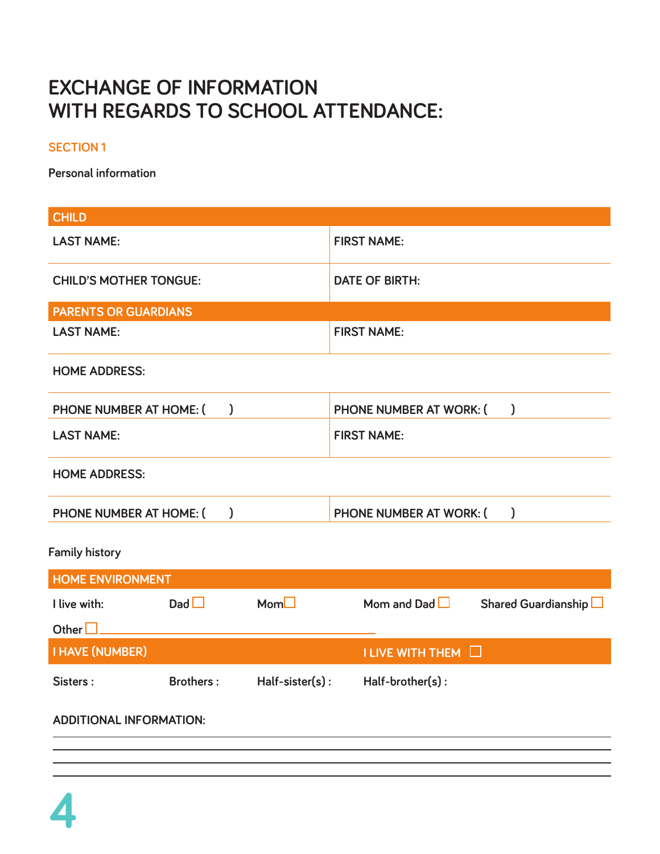# **exchange of information with regards to school attendance:**

## **Section 1**

**Personal information**

| <b>CHILD</b>                             |                  |                  |                                           |  |  |
|------------------------------------------|------------------|------------------|-------------------------------------------|--|--|
| <b>LAST NAME:</b>                        |                  |                  | <b>FIRST NAME:</b>                        |  |  |
| <b>CHILD'S MOTHER TONGUE:</b>            |                  |                  | <b>DATE OF BIRTH:</b>                     |  |  |
| <b>PARENTS OR GUARDIANS</b>              |                  |                  |                                           |  |  |
| <b>LAST NAME:</b>                        |                  |                  | <b>FIRST NAME:</b>                        |  |  |
| <b>HOME ADDRESS:</b>                     |                  |                  |                                           |  |  |
| PHONE NUMBER AT HOME: (<br>$\mathcal{C}$ |                  |                  | PHONE NUMBER AT WORK: (<br>$\mathcal{E}$  |  |  |
| <b>LAST NAME:</b>                        |                  |                  | <b>FIRST NAME:</b>                        |  |  |
| <b>HOME ADDRESS:</b>                     |                  |                  |                                           |  |  |
| PHONE NUMBER AT HOME: (                  | $\mathcal{C}$    |                  | PHONE NUMBER AT WORK: (<br>$\mathcal{E}$  |  |  |
| <b>Family history</b>                    |                  |                  |                                           |  |  |
| <b>HOME ENVIRONMENT</b>                  |                  |                  |                                           |  |  |
| I live with:                             | $D$ ad $\Box$    | Mom <sub>l</sub> | Mom and Dad $\Box$<br>Shared Guardianship |  |  |
| Other $\square$                          |                  |                  |                                           |  |  |
| <b>I HAVE (NUMBER)</b>                   |                  |                  | I LIVE WITH THEM I                        |  |  |
| Sisters:                                 | <b>Brothers:</b> | Half-sister(s):  | Half-brother(s):                          |  |  |
| <b>ADDITIONAL INFORMATION:</b>           |                  |                  |                                           |  |  |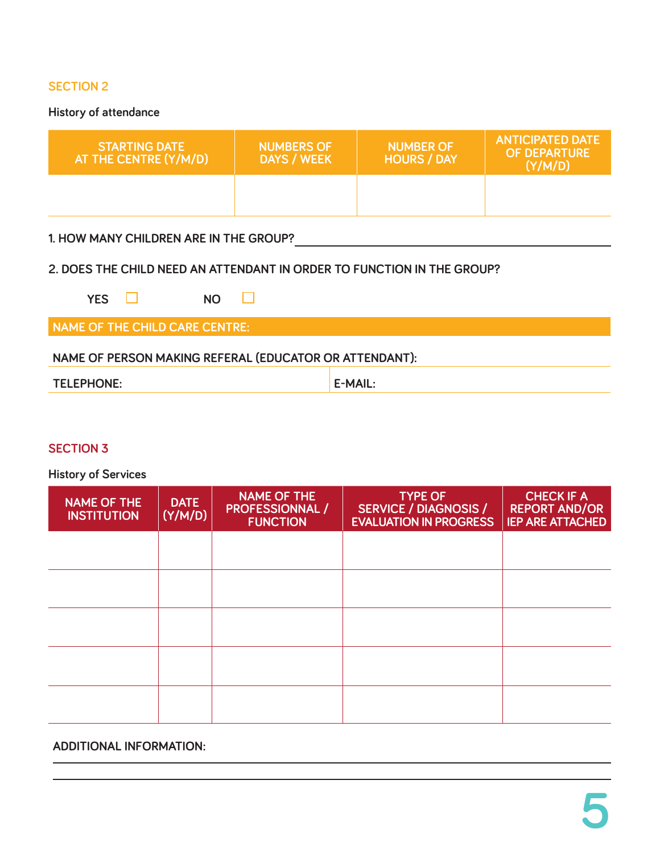**History of attendance**

| <b>STARTING DATE</b><br>AT THE CENTRE (Y/M/D) | <b>NUMBERS OF</b><br><b>DAYS / WEEK</b> | <b>NUMBER OF</b><br><b>HOURS / DAY</b> | <b>ANTICIPATED DATE</b><br><b>OF DEPARTURE</b><br>(Y/M/D) |
|-----------------------------------------------|-----------------------------------------|----------------------------------------|-----------------------------------------------------------|
|                                               |                                         |                                        |                                                           |

### **1. how many children are in the group?**

### **2. does the child need an attendant in order to function in the group?**

| <b>VEC</b><br>'ES | <b>NO</b> |
|-------------------|-----------|
|-------------------|-----------|

**name of the child care centre:**

## **name of person making referal (educator or attendant):**

| <b>PHONE</b><br>TEL.<br>.<br>. | ᠁.<br> |
|--------------------------------|--------|

#### **Section 3**

**History of Services**

| <b>NAME OF THE</b><br><b>INSTITUTION</b> | <b>DATE</b><br>(Y/M/D) | <b>NAME OF THE</b><br><b>PROFESSIONNAL /</b><br><b>FUNCTION</b> | <b>TYPE OF</b><br><b>SERVICE / DIAGNOSIS /</b><br><b>EVALUATION IN PROGRESS</b> | <b>CHECK IF A</b><br><b>REPORT AND/OR</b><br><b>IEP ARE ATTACHED</b> |
|------------------------------------------|------------------------|-----------------------------------------------------------------|---------------------------------------------------------------------------------|----------------------------------------------------------------------|
|                                          |                        |                                                                 |                                                                                 |                                                                      |
|                                          |                        |                                                                 |                                                                                 |                                                                      |
|                                          |                        |                                                                 |                                                                                 |                                                                      |
|                                          |                        |                                                                 |                                                                                 |                                                                      |
|                                          |                        |                                                                 |                                                                                 |                                                                      |

#### **additional information :**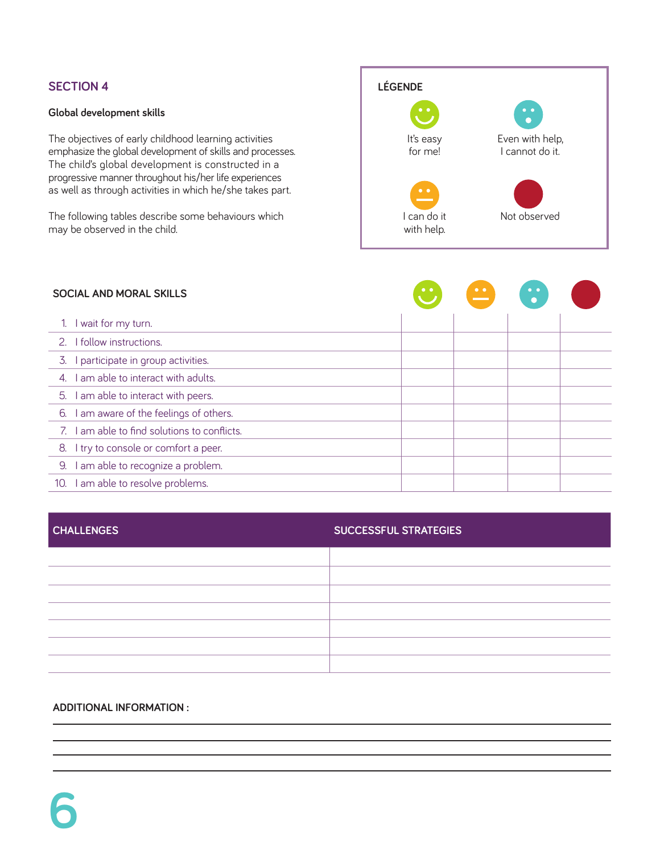#### **Global development skills**

The objectives of early childhood learning activities emphasize the global development of skills and processes. The child's global development is constructed in a progressive manner throughout his/her life experiences as well as through activities in which he/she takes part.

The following tables describe some behaviours which may be observed in the child.



|                       | <b>SOCIAL AND MORAL SKILLS</b>               | $\bullet\hspace{0.1cm} \bullet\hspace{0.1cm}$ |  |  |
|-----------------------|----------------------------------------------|-----------------------------------------------|--|--|
|                       | I wait for my turn.                          |                                               |  |  |
| 2.                    | I follow instructions.                       |                                               |  |  |
| 3.                    | I participate in group activities.           |                                               |  |  |
| $\mathcal{A}_{\cdot}$ | I am able to interact with adults.           |                                               |  |  |
| 5.                    | I am able to interact with peers.            |                                               |  |  |
| 6.                    | I am aware of the feelings of others.        |                                               |  |  |
|                       | 7. I am able to find solutions to conflicts. |                                               |  |  |
|                       | 8. I try to console or comfort a peer.       |                                               |  |  |
| 9.                    | I am able to recognize a problem.            |                                               |  |  |
| 10.                   | I am able to resolve problems.               |                                               |  |  |

|  | <b>CHALLENGES</b> |
|--|-------------------|
|  |                   |

#### **challenges successful strategies**

| <u> 1989 - Jan Samuel Barbara, margaret eta idazlea (h. 1989).</u>                                                                                                                                                            |                                                                                  |
|-------------------------------------------------------------------------------------------------------------------------------------------------------------------------------------------------------------------------------|----------------------------------------------------------------------------------|
|                                                                                                                                                                                                                               |                                                                                  |
|                                                                                                                                                                                                                               |                                                                                  |
|                                                                                                                                                                                                                               |                                                                                  |
|                                                                                                                                                                                                                               |                                                                                  |
|                                                                                                                                                                                                                               |                                                                                  |
|                                                                                                                                                                                                                               |                                                                                  |
| <u> 1989 - Andrea Santa Andrea Andrea Andrea Andrea Andrea Andrea Andrea Andrea Andrea Andrea Andrea Andrea Andr</u>                                                                                                          | ,一个人的人都是一个人的人,但是,我们的人都是一个人的人,我们的人都是一个人的人,我们的人都是一个人的人,我们的人都是一个人的人,我们的人都是一个人的人,我们的 |
|                                                                                                                                                                                                                               |                                                                                  |
|                                                                                                                                                                                                                               |                                                                                  |
|                                                                                                                                                                                                                               |                                                                                  |
|                                                                                                                                                                                                                               |                                                                                  |
|                                                                                                                                                                                                                               |                                                                                  |
|                                                                                                                                                                                                                               |                                                                                  |
|                                                                                                                                                                                                                               |                                                                                  |
|                                                                                                                                                                                                                               |                                                                                  |
|                                                                                                                                                                                                                               |                                                                                  |
|                                                                                                                                                                                                                               |                                                                                  |
|                                                                                                                                                                                                                               |                                                                                  |
|                                                                                                                                                                                                                               |                                                                                  |
|                                                                                                                                                                                                                               |                                                                                  |
|                                                                                                                                                                                                                               |                                                                                  |
|                                                                                                                                                                                                                               |                                                                                  |
|                                                                                                                                                                                                                               |                                                                                  |
|                                                                                                                                                                                                                               |                                                                                  |
|                                                                                                                                                                                                                               |                                                                                  |
|                                                                                                                                                                                                                               |                                                                                  |
|                                                                                                                                                                                                                               |                                                                                  |
|                                                                                                                                                                                                                               |                                                                                  |
| ,我们也不会有什么。""我们的人,我们也不会有什么?""我们的人,我们也不会有什么?""我们的人,我们也不会有什么?""我们的人,我们也不会有什么?""我们的人                                                                                                                                              |                                                                                  |
|                                                                                                                                                                                                                               |                                                                                  |
|                                                                                                                                                                                                                               |                                                                                  |
|                                                                                                                                                                                                                               |                                                                                  |
|                                                                                                                                                                                                                               |                                                                                  |
|                                                                                                                                                                                                                               |                                                                                  |
|                                                                                                                                                                                                                               |                                                                                  |
| the control of the control of the control of the control of the control of the control of the control of the control of the control of the control of the control of the control of the control of the control of the control |                                                                                  |
|                                                                                                                                                                                                                               |                                                                                  |

#### **additional information :**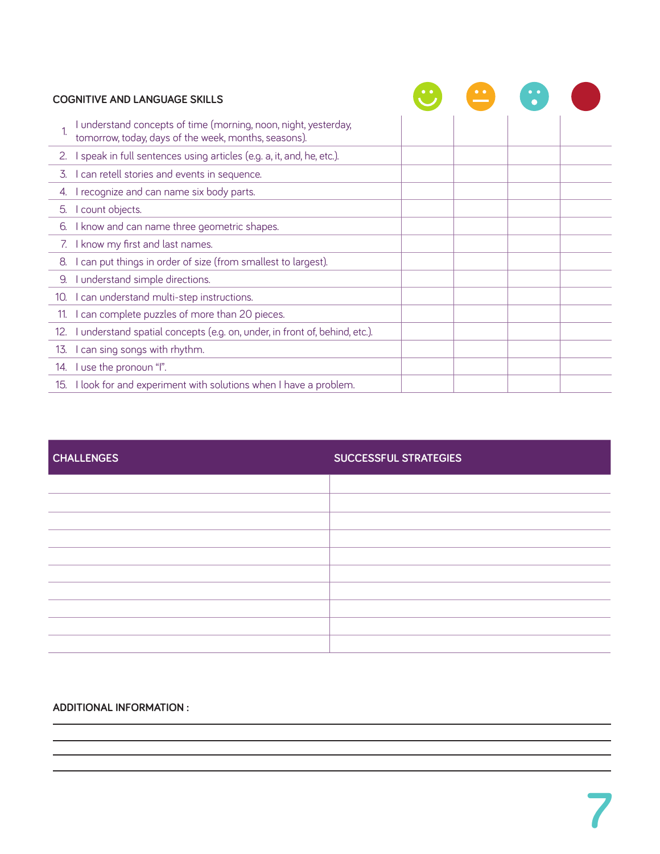|     | <b>COGNITIVE AND LANGUAGE SKILLS</b>                                                                                    |  |  |
|-----|-------------------------------------------------------------------------------------------------------------------------|--|--|
|     | I understand concepts of time (morning, noon, night, yesterday,<br>tomorrow, today, days of the week, months, seasons). |  |  |
| 2.  | I speak in full sentences using articles (e.g. a, it, and, he, etc.).                                                   |  |  |
| 3.  | I can retell stories and events in sequence.                                                                            |  |  |
| 4.  | I recognize and can name six body parts.                                                                                |  |  |
| 5.  | count objects.                                                                                                          |  |  |
| 6.  | I know and can name three geometric shapes.                                                                             |  |  |
|     | 7. I know my first and last names.                                                                                      |  |  |
| 8.  | can put things in order of size (from smallest to largest).                                                             |  |  |
| 9.  | I understand simple directions.                                                                                         |  |  |
| 10. | I can understand multi-step instructions.                                                                               |  |  |
| 11. | I can complete puzzles of more than 20 pieces.                                                                          |  |  |
| 12. | I understand spatial concepts (e.g. on, under, in front of, behind, etc.).                                              |  |  |
| 13. | I can sing songs with rhythm.                                                                                           |  |  |
|     | 14. I use the pronoun "I".                                                                                              |  |  |
|     | 15. I look for and experiment with solutions when I have a problem.                                                     |  |  |

| <b>CHALLENGES</b> | <b>SUCCESSFUL STRATEGIES</b> |
|-------------------|------------------------------|
|                   |                              |
|                   |                              |
|                   |                              |
|                   |                              |
|                   |                              |
|                   |                              |
|                   |                              |
|                   |                              |
|                   |                              |
|                   |                              |

#### **additional information :**

the control of the control of the control of the control of the control of the control of <u> 1980 - Johann Barbara, martxa alemaniar a</u>

<u> 1989 - Johann Stoff, deutscher Stoff, der Stoff, der Stoff, der Stoff, der Stoff, der Stoff, der Stoff, der S</u>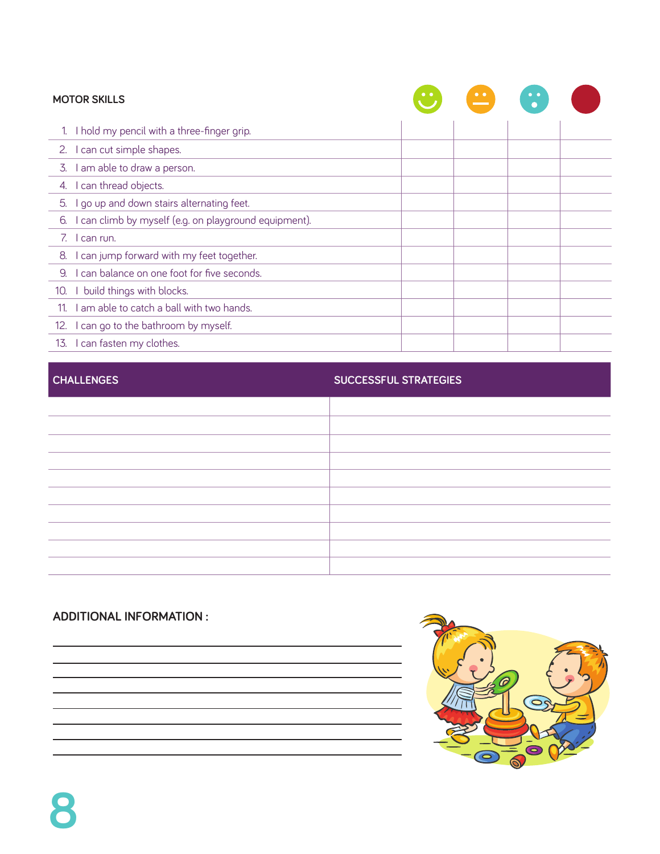| <b>MOTOR SKILLS</b>                                         | $\bullet\hspace{1mm}\bullet\hspace{1mm}$ | $\bullet\quad \bullet$ |  |
|-------------------------------------------------------------|------------------------------------------|------------------------|--|
| I hold my pencil with a three-finger grip.                  |                                          |                        |  |
| 2. I can cut simple shapes.                                 |                                          |                        |  |
| 3. I am able to draw a person.                              |                                          |                        |  |
| 4. I can thread objects.                                    |                                          |                        |  |
| I go up and down stairs alternating feet.<br>5.             |                                          |                        |  |
| I can climb by myself (e.g. on playground equipment).<br>6. |                                          |                        |  |
| 7. I can run.                                               |                                          |                        |  |
| I can jump forward with my feet together.<br>8.             |                                          |                        |  |
| I can balance on one foot for five seconds.<br>9.           |                                          |                        |  |
| build things with blocks.<br>10.                            |                                          |                        |  |
| I am able to catch a ball with two hands.<br>11.            |                                          |                        |  |
| I can go to the bathroom by myself.<br>12.                  |                                          |                        |  |
| 13. I can fasten my clothes.                                |                                          |                        |  |

# **challenges successful strategies**

| ,我们也不会有什么?""我们的人,我们也不会有什么?""我们的人,我们也不会有什么?""我们的人,我们也不会有什么?""我们的人,我们也不会有什么?""我们的人 | ,我们也不会有什么?""我们的人,我们也不会有什么?""我们的人,我们也不会有什么?""我们的人,我们也不会有什么?""我们的人,我们也不会有什么?""我们的人 |
|----------------------------------------------------------------------------------|----------------------------------------------------------------------------------|
|                                                                                  |                                                                                  |
|                                                                                  |                                                                                  |
|                                                                                  |                                                                                  |
|                                                                                  |                                                                                  |
| ,我们也不会有什么?""我们的人,我们也不会有什么?""我们的人,我们也不会有什么?""我们的人,我们也不会有什么?""我们的人,我们也不会有什么?""我们的人 | ,我们也不会有什么?""我们的人,我们也不会有什么?""我们的人,我们也不会有什么?""我们的人,我们也不会有什么?""我们的人,我们也不会有什么?""我们的人 |
| ,我们也不会有什么?""我们的话,我们也不会有什么?""我们的话,我们也不会有什么?""我们的话,我们也不会有什么?""我们的话,我们也不会有什么?""我们的话 | ,我们也不会有什么?""我们的人,我们也不会有什么?""我们的人,我们也不会有什么?""我们的人,我们也不会有什么?""我们的人,我们也不会有什么?""我们的人 |
|                                                                                  |                                                                                  |

# **additional information :**

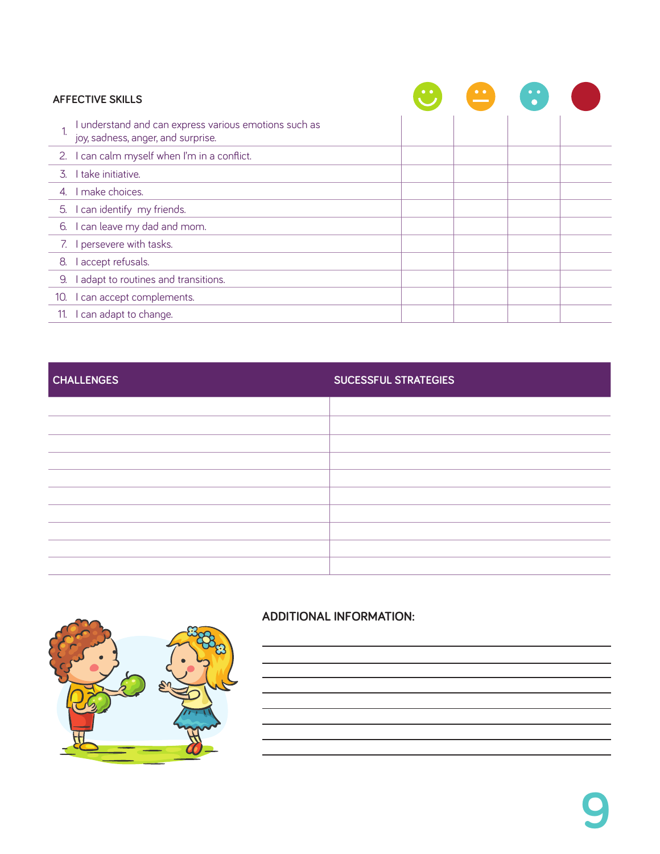| <b>AFFECTIVE SKILLS</b> |                                                                                             |  | $\bullet$ $\bullet$ | $\ddot{\bullet}$ |  |
|-------------------------|---------------------------------------------------------------------------------------------|--|---------------------|------------------|--|
|                         | I understand and can express various emotions such as<br>joy, sadness, anger, and surprise. |  |                     |                  |  |
|                         | 2. I can calm myself when I'm in a conflict.                                                |  |                     |                  |  |
| 3.                      | I take initiative.                                                                          |  |                     |                  |  |
|                         | 4. I make choices.                                                                          |  |                     |                  |  |
|                         | 5. I can identify my friends.                                                               |  |                     |                  |  |
|                         | 6. I can leave my dad and mom.                                                              |  |                     |                  |  |
|                         | 7. I persevere with tasks.                                                                  |  |                     |                  |  |
| 8.                      | I accept refusals.                                                                          |  |                     |                  |  |
| 9.                      | I adapt to routines and transitions.                                                        |  |                     |                  |  |
| 10.                     | I can accept complements.                                                                   |  |                     |                  |  |
|                         | 11. I can adapt to change.                                                                  |  |                     |                  |  |

# **challenges sucessful strategies**

| ,我们也不会有什么。""我们的人,我们也不会有什么?""我们的人,我们也不会有什么?""我们的人,我们也不会有什么?""我们的人,我们也不会有什么?""我们的人 | 1. 그 사이에 대한 사이에 대한 사이에 대한 사이에 대한 사이에 대한 사이에 대한 사이에 대한 사이에 대한 사이에 대한 사이에 대한 사이에 대한 사이에 대한 사이에 대한 사이에 대한 사이에 대한 사<br>이 사이에 대한 사이에 대한 사이에 대한 사이에 대한 사이에 대한 사이에 대한 사이에 대한 사이에 대한 사이에 대한 사이에 대한 사이에 대한 사이에 대한 사이에 대한 사이에 대한 사이에 대한 사이 |
|----------------------------------------------------------------------------------|----------------------------------------------------------------------------------------------------------------------------------------------------------------------------------------------------------------------------------|
| ,我们也不能会在这里,我们的人们就会在这里,我们的人们就会在这里,我们的人们就会在这里,我们的人们就会在这里,我们的人们就会在这里,我们的人们就会在这里,我们的 | the control of the control of the control of the control of the control of the control of the control of the control of the control of the control of the control of the control of the control of the control of the control    |
| ,我们也不会有什么。""我们的人,我们也不会有什么?""我们的人,我们也不会有什么?""我们的人,我们也不会有什么?""我们的人,我们也不会有什么?""我们的人 |                                                                                                                                                                                                                                  |
|                                                                                  |                                                                                                                                                                                                                                  |
|                                                                                  |                                                                                                                                                                                                                                  |
|                                                                                  |                                                                                                                                                                                                                                  |
|                                                                                  |                                                                                                                                                                                                                                  |
|                                                                                  |                                                                                                                                                                                                                                  |



# **additional information:**

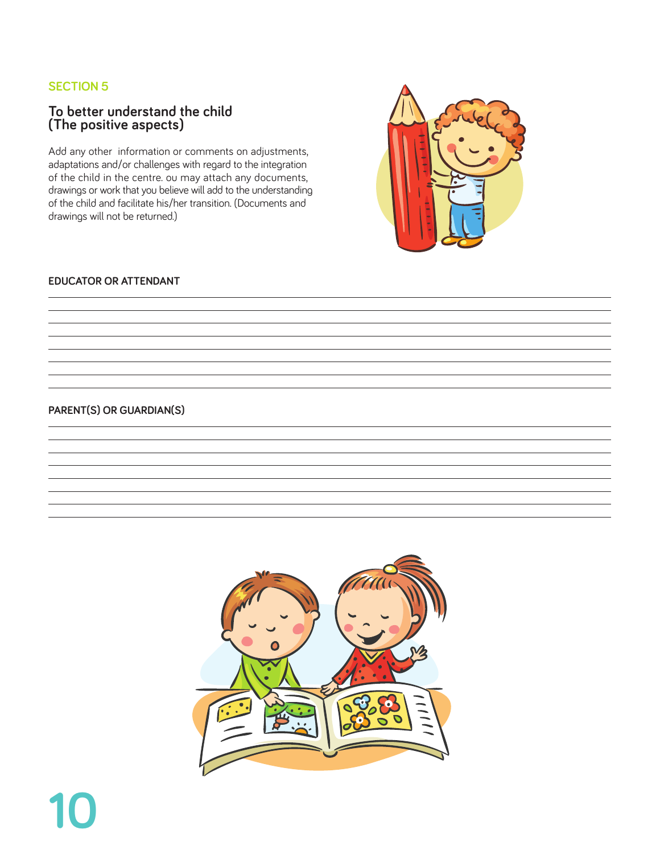### **To better understand the child (The positive aspects)**

Add any other information or comments on adjustments, adaptations and/or challenges with regard to the integration of the child in the centre. ou may attach any documents, drawings or work that you believe will add to the understanding of the child and facilitate his/her transition. (Documents and drawings will not be returned.)

### **educator or attendant**

#### **Parent(s) or guardian(s)**

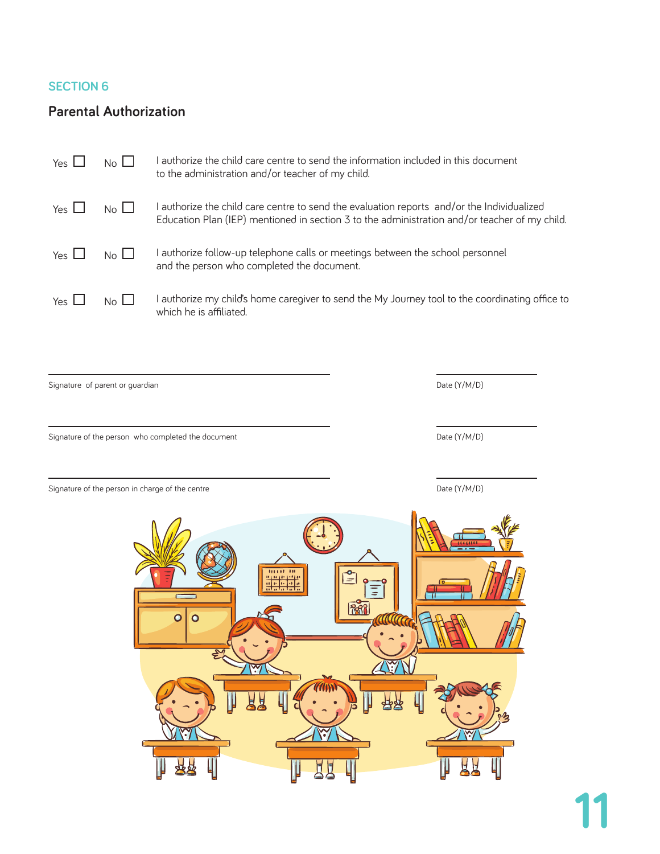# **Parental Authorization**

| Yes $L$                   | $No$ $\Box$ | authorize the child care centre to send the information included in this document<br>to the administration and/or teacher of my child.                                                    |
|---------------------------|-------------|-------------------------------------------------------------------------------------------------------------------------------------------------------------------------------------------|
| Yes $\mathsf{\mathsf{L}}$ | $No$ $\Box$ | authorize the child care centre to send the evaluation reports and/or the Individualized<br>Education Plan (IEP) mentioned in section 3 to the administration and/or teacher of my child. |
| Yes $L$                   | $No \Box$   | authorize follow-up telephone calls or meetings between the school personnel<br>and the person who completed the document.                                                                |
| Yes $\mathsf{\mathsf{L}}$ | $No$ $\Box$ | authorize my child's home caregiver to send the My Journey tool to the coordinating office to<br>which he is affiliated.                                                                  |

Signature of parent or guardian decree of the state of parents of parents of parents of parents of  $D$ ate (Y/M/D)

Signature of the person who completed the document  $Date (Y/M/D)$ 

Signature of the person in charge of the centre  $Date (Y/M/D)$ 

 $\equiv$ කියි  $\overline{\circ}$  $\overline{\mathbf{o}}$ स्त्र  $\widetilde{\mathbf{S}}$